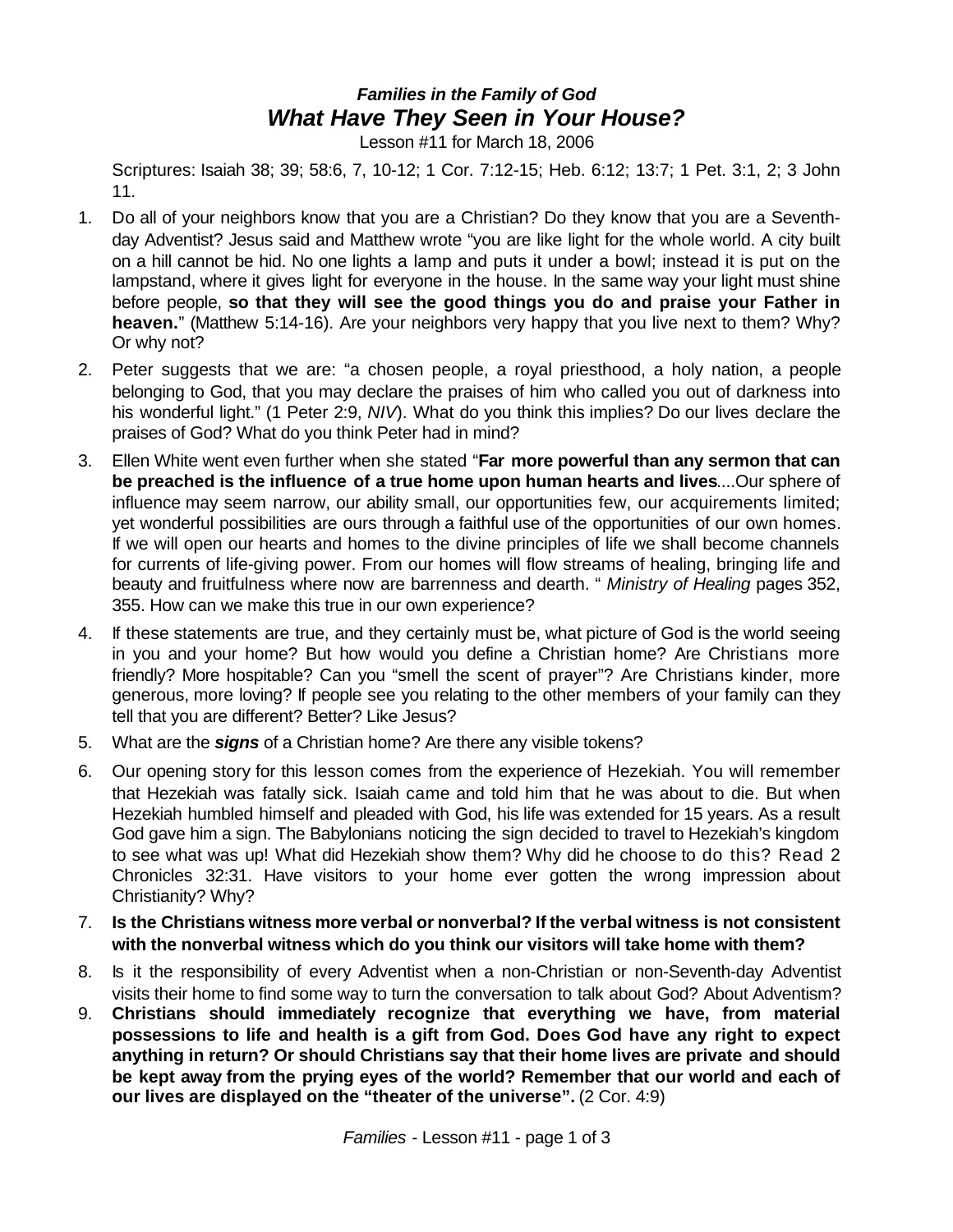## *Families in the Family of God What Have They Seen in Your House?*

Lesson #11 for March 18, 2006

Scriptures: Isaiah 38; 39; 58:6, 7, 10-12; 1 Cor. 7:12-15; Heb. 6:12; 13:7; 1 Pet. 3:1, 2; 3 John 11.

- 1. Do all of your neighbors know that you are a Christian? Do they know that you are a Seventhday Adventist? Jesus said and Matthew wrote "you are like light for the whole world. A city built on a hill cannot be hid. No one lights a lamp and puts it under a bowl; instead it is put on the lampstand, where it gives light for everyone in the house. In the same way your light must shine before people, **so that they will see the good things you do and praise your Father in heaven.**" (Matthew 5:14-16). Are your neighbors very happy that you live next to them? Why? Or why not?
- 2. Peter suggests that we are: "a chosen people, a royal priesthood, a holy nation, a people belonging to God, that you may declare the praises of him who called you out of darkness into his wonderful light." (1 Peter 2:9, *NIV*). What do you think this implies? Do our lives declare the praises of God? What do you think Peter had in mind?
- 3. Ellen White went even further when she stated "**Far more powerful than any sermon that can be preached is the influence of a true home upon human hearts and lives**....Our sphere of influence may seem narrow, our ability small, our opportunities few, our acquirements limited; yet wonderful possibilities are ours through a faithful use of the opportunities of our own homes. If we will open our hearts and homes to the divine principles of life we shall become channels for currents of life-giving power. From our homes will flow streams of healing, bringing life and beauty and fruitfulness where now are barrenness and dearth. " *Ministry of Healing* pages 352, 355. How can we make this true in our own experience?
- 4. If these statements are true, and they certainly must be, what picture of God is the world seeing in you and your home? But how would you define a Christian home? Are Christians more friendly? More hospitable? Can you "smell the scent of prayer"? Are Christians kinder, more generous, more loving? If people see you relating to the other members of your family can they tell that you are different? Better? Like Jesus?
- 5. What are the *signs* of a Christian home? Are there any visible tokens?
- 6. Our opening story for this lesson comes from the experience of Hezekiah. You will remember that Hezekiah was fatally sick. Isaiah came and told him that he was about to die. But when Hezekiah humbled himself and pleaded with God, his life was extended for 15 years. As a result God gave him a sign. The Babylonians noticing the sign decided to travel to Hezekiah's kingdom to see what was up! What did Hezekiah show them? Why did he choose to do this? Read 2 Chronicles 32:31. Have visitors to your home ever gotten the wrong impression about Christianity? Why?
- 7. **Is the Christians witness more verbal or nonverbal? If the verbal witness is not consistent with the nonverbal witness which do you think our visitors will take home with them?**
- 8. Is it the responsibility of every Adventist when a non-Christian or non-Seventh-day Adventist visits their home to find some way to turn the conversation to talk about God? About Adventism?
- 9. **Christians should immediately recognize that everything we have, from material possessions to life and health is a gift from God. Does God have any right to expect anything in return? Or should Christians say that their home lives are private and should be kept away from the prying eyes of the world? Remember that our world and each of our lives are displayed on the "theater of the universe".** (2 Cor. 4:9)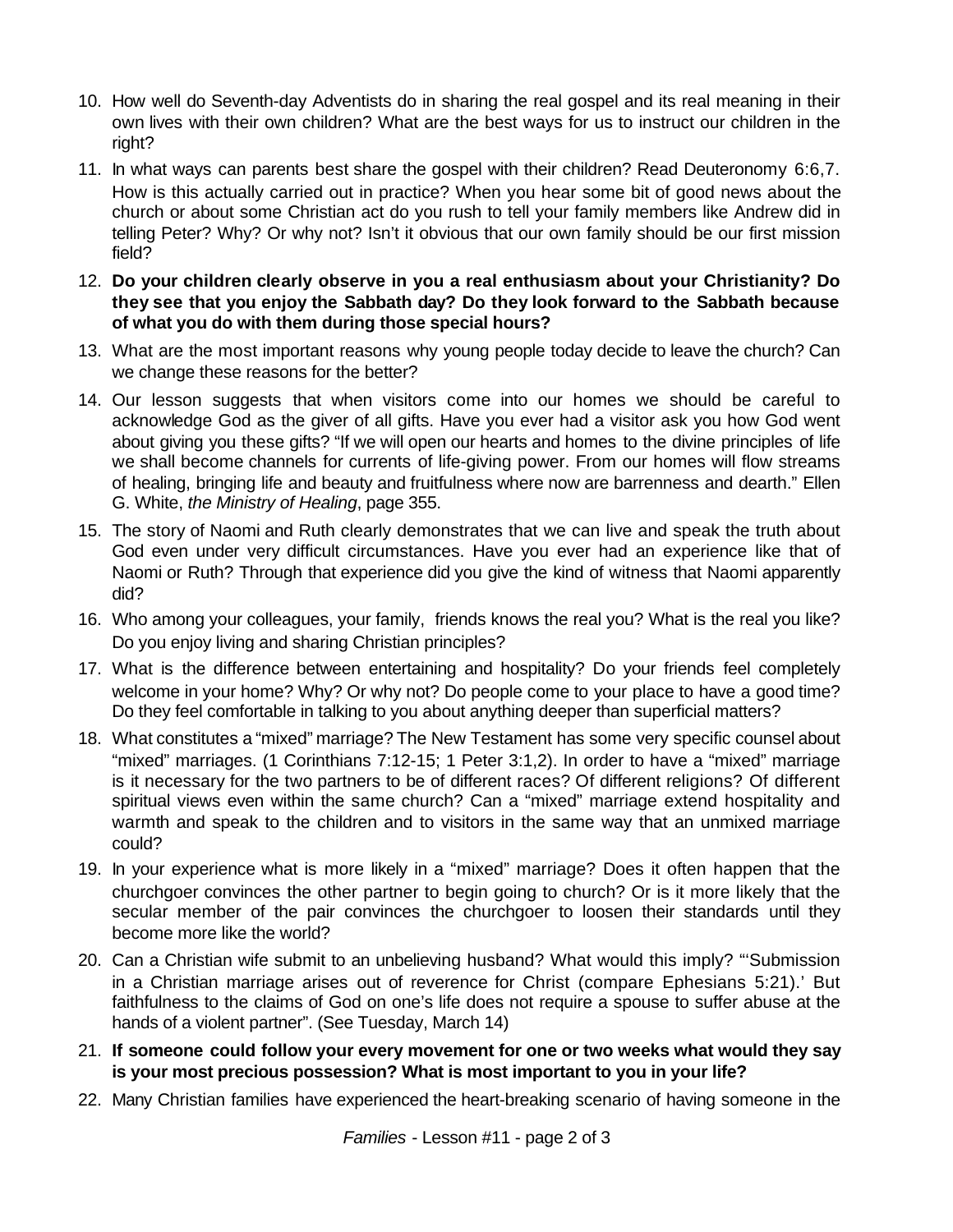- 10. How well do Seventh-day Adventists do in sharing the real gospel and its real meaning in their own lives with their own children? What are the best ways for us to instruct our children in the right?
- 11. In what ways can parents best share the gospel with their children? Read Deuteronomy 6:6,7. How is this actually carried out in practice? When you hear some bit of good news about the church or about some Christian act do you rush to tell your family members like Andrew did in telling Peter? Why? Or why not? Isn't it obvious that our own family should be our first mission field?
- 12. **Do your children clearly observe in you a real enthusiasm about your Christianity? Do they see that you enjoy the Sabbath day? Do they look forward to the Sabbath because of what you do with them during those special hours?**
- 13. What are the most important reasons why young people today decide to leave the church? Can we change these reasons for the better?
- 14. Our lesson suggests that when visitors come into our homes we should be careful to acknowledge God as the giver of all gifts. Have you ever had a visitor ask you how God went about giving you these gifts? "If we will open our hearts and homes to the divine principles of life we shall become channels for currents of life-giving power. From our homes will flow streams of healing, bringing life and beauty and fruitfulness where now are barrenness and dearth." Ellen G. White, *the Ministry of Healing*, page 355.
- 15. The story of Naomi and Ruth clearly demonstrates that we can live and speak the truth about God even under very difficult circumstances. Have you ever had an experience like that of Naomi or Ruth? Through that experience did you give the kind of witness that Naomi apparently did?
- 16. Who among your colleagues, your family, friends knows the real you? What is the real you like? Do you enjoy living and sharing Christian principles?
- 17. What is the difference between entertaining and hospitality? Do your friends feel completely welcome in your home? Why? Or why not? Do people come to your place to have a good time? Do they feel comfortable in talking to you about anything deeper than superficial matters?
- 18. What constitutes a "mixed" marriage? The New Testament has some very specific counsel about "mixed" marriages. (1 Corinthians 7:12-15; 1 Peter 3:1,2). In order to have a "mixed" marriage is it necessary for the two partners to be of different races? Of different religions? Of different spiritual views even within the same church? Can a "mixed" marriage extend hospitality and warmth and speak to the children and to visitors in the same way that an unmixed marriage could?
- 19. In your experience what is more likely in a "mixed" marriage? Does it often happen that the churchgoer convinces the other partner to begin going to church? Or is it more likely that the secular member of the pair convinces the churchgoer to loosen their standards until they become more like the world?
- 20. Can a Christian wife submit to an unbelieving husband? What would this imply? "'Submission in a Christian marriage arises out of reverence for Christ (compare Ephesians 5:21).' But faithfulness to the claims of God on one's life does not require a spouse to suffer abuse at the hands of a violent partner". (See Tuesday, March 14)
- 21. **If someone could follow your every movement for one or two weeks what would they say is your most precious possession? What is most important to you in your life?**
- 22. Many Christian families have experienced the heart-breaking scenario of having someone in the